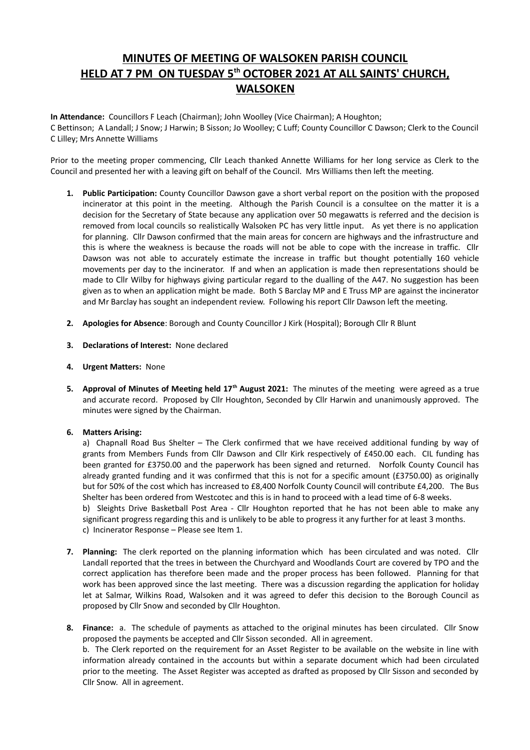# **MINUTES OF MEETING OF WALSOKEN PARISH COUNCIL HELD AT 7 PM ON TUESDAY 5th OCTOBER 2021 AT ALL SAINTS' CHURCH, WALSOKEN**

**In Attendance:** Councillors F Leach (Chairman); John Woolley (Vice Chairman); A Houghton; C Bettinson; A Landall; J Snow; J Harwin; B Sisson; Jo Woolley; C Luff; County Councillor C Dawson; Clerk to the Council C Lilley; Mrs Annette Williams

Prior to the meeting proper commencing, Cllr Leach thanked Annette Williams for her long service as Clerk to the Council and presented her with a leaving gift on behalf of the Council. Mrs Williams then left the meeting.

- **1. Public Participation:** County Councillor Dawson gave a short verbal report on the position with the proposed incinerator at this point in the meeting. Although the Parish Council is a consultee on the matter it is a decision for the Secretary of State because any application over 50 megawatts is referred and the decision is removed from local councils so realistically Walsoken PC has very little input. As yet there is no application for planning. Cllr Dawson confirmed that the main areas for concern are highways and the infrastructure and this is where the weakness is because the roads will not be able to cope with the increase in traffic. Cllr Dawson was not able to accurately estimate the increase in traffic but thought potentially 160 vehicle movements per day to the incinerator. If and when an application is made then representations should be made to Cllr Wilby for highways giving particular regard to the dualling of the A47. No suggestion has been given as to when an application might be made. Both S Barclay MP and E Truss MP are against the incinerator and Mr Barclay has sought an independent review. Following his report Cllr Dawson left the meeting.
- **2. Apologies for Absence**: Borough and County Councillor J Kirk (Hospital); Borough Cllr R Blunt
- **3. Declarations of Interest:** None declared
- **4. Urgent Matters:** None
- **5. Approval of Minutes of Meeting held 17th August 2021:** The minutes of the meeting were agreed as a true and accurate record. Proposed by Cllr Houghton, Seconded by Cllr Harwin and unanimously approved. The minutes were signed by the Chairman.

## **6. Matters Arising:**

a) Chapnall Road Bus Shelter - The Clerk confirmed that we have received additional funding by way of grants from Members Funds from Cllr Dawson and Cllr Kirk respectively of £450.00 each. CIL funding has been granted for £3750.00 and the paperwork has been signed and returned. Norfolk County Council has already granted funding and it was confirmed that this is not for a specific amount (£3750.00) as originally but for 50% of the cost which has increased to £8,400 Norfolk County Council will contribute £4,200. The Bus Shelter has been ordered from Westcotec and this is in hand to proceed with a lead time of 6-8 weeks.

b) Sleights Drive Basketball Post Area - Cllr Houghton reported that he has not been able to make any significant progress regarding this and is unlikely to be able to progress it any further for at least 3 months. c) Incinerator Response – Please see Item 1.

- **7. Planning:** The clerk reported on the planning information which has been circulated and was noted. Cllr Landall reported that the trees in between the Churchyard and Woodlands Court are covered by TPO and the correct application has therefore been made and the proper process has been followed. Planning for that work has been approved since the last meeting. There was a discussion regarding the application for holiday let at Salmar, Wilkins Road, Walsoken and it was agreed to defer this decision to the Borough Council as proposed by Cllr Snow and seconded by Cllr Houghton.
- **8. Finance:** a. The schedule of payments as attached to the original minutes has been circulated. Cllr Snow proposed the payments be accepted and Cllr Sisson seconded. All in agreement. b. The Clerk reported on the requirement for an Asset Register to be available on the website in line with information already contained in the accounts but within a separate document which had been circulated prior to the meeting. The Asset Register was accepted as drafted as proposed by Cllr Sisson and seconded by Cllr Snow. All in agreement.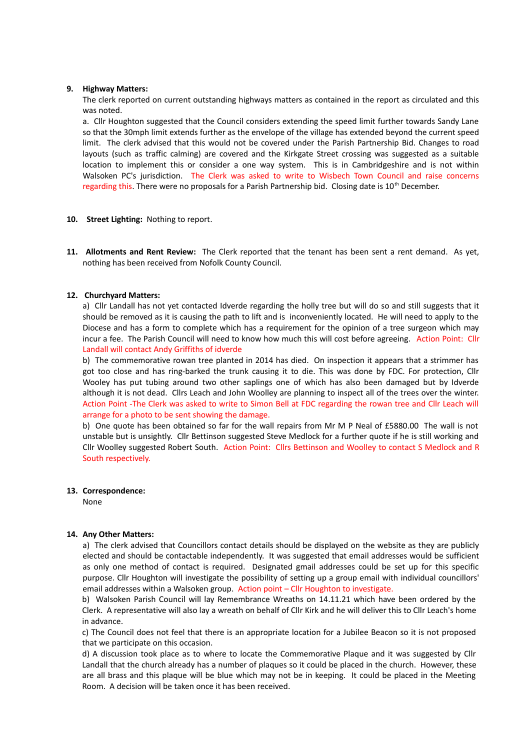#### **9. Highway Matters:**

The clerk reported on current outstanding highways matters as contained in the report as circulated and this was noted.

a. Cllr Houghton suggested that the Council considers extending the speed limit further towards Sandy Lane so that the 30mph limit extends further as the envelope of the village has extended beyond the current speed limit. The clerk advised that this would not be covered under the Parish Partnership Bid. Changes to road layouts (such as traffic calming) are covered and the Kirkgate Street crossing was suggested as a suitable location to implement this or consider a one way system. This is in Cambridgeshire and is not within Walsoken PC's jurisdiction. The Clerk was asked to write to Wisbech Town Council and raise concerns regarding this. There were no proposals for a Parish Partnership bid. Closing date is 10<sup>th</sup> December.

- **10. Street Lighting:** Nothing to report.
- **11. Allotments and Rent Review:** The Clerk reported that the tenant has been sent a rent demand. As yet, nothing has been received from Nofolk County Council.

## **12. Churchyard Matters:**

a) Cllr Landall has not yet contacted Idverde regarding the holly tree but will do so and still suggests that it should be removed as it is causing the path to lift and is inconveniently located. He will need to apply to the Diocese and has a form to complete which has a requirement for the opinion of a tree surgeon which may incur a fee. The Parish Council will need to know how much this will cost before agreeing. Action Point: Cllr Landall will contact Andy Griffiths of idverde

b) The commemorative rowan tree planted in 2014 has died. On inspection it appears that a strimmer has got too close and has ring-barked the trunk causing it to die. This was done by FDC. For protection, Cllr Wooley has put tubing around two other saplings one of which has also been damaged but by Idverde although it is not dead. Cllrs Leach and John Woolley are planning to inspect all of the trees over the winter. Action Point -The Clerk was asked to write to Simon Bell at FDC regarding the rowan tree and Cllr Leach will arrange for a photo to be sent showing the damage.

b) One quote has been obtained so far for the wall repairs from Mr M P Neal of £5880.00 The wall is not unstable but is unsightly. Cllr Bettinson suggested Steve Medlock for a further quote if he is still working and Cllr Woolley suggested Robert South. Action Point: Cllrs Bettinson and Woolley to contact S Medlock and R South respectively.

#### **13. Correspondence:**

None

## **14. Any Other Matters:**

a) The clerk advised that Councillors contact details should be displayed on the website as they are publicly elected and should be contactable independently. It was suggested that email addresses would be sufficient as only one method of contact is required. Designated gmail addresses could be set up for this specific purpose. Cllr Houghton will investigate the possibility of setting up a group email with individual councillors' email addresses within a Walsoken group. Action point – Cllr Houghton to investigate.

b) Walsoken Parish Council will lay Remembrance Wreaths on 14.11.21 which have been ordered by the Clerk. A representative will also lay a wreath on behalf of Cllr Kirk and he will deliver this to Cllr Leach's home in advance.

c) The Council does not feel that there is an appropriate location for a Jubilee Beacon so it is not proposed that we participate on this occasion.

d) A discussion took place as to where to locate the Commemorative Plaque and it was suggested by Cllr Landall that the church already has a number of plaques so it could be placed in the church. However, these are all brass and this plaque will be blue which may not be in keeping. It could be placed in the Meeting Room. A decision will be taken once it has been received.